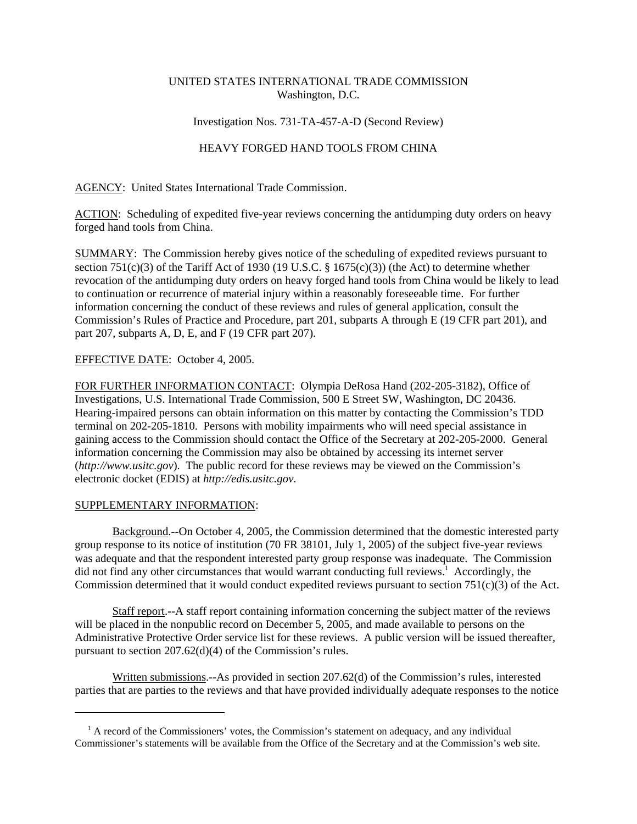# UNITED STATES INTERNATIONAL TRADE COMMISSION Washington, D.C.

## Investigation Nos. 731-TA-457-A-D (Second Review)

## HEAVY FORGED HAND TOOLS FROM CHINA

AGENCY: United States International Trade Commission.

ACTION: Scheduling of expedited five-year reviews concerning the antidumping duty orders on heavy forged hand tools from China.

SUMMARY: The Commission hereby gives notice of the scheduling of expedited reviews pursuant to section 751(c)(3) of the Tariff Act of 1930 (19 U.S.C. § 1675(c)(3)) (the Act) to determine whether revocation of the antidumping duty orders on heavy forged hand tools from China would be likely to lead to continuation or recurrence of material injury within a reasonably foreseeable time. For further information concerning the conduct of these reviews and rules of general application, consult the Commission's Rules of Practice and Procedure, part 201, subparts A through E (19 CFR part 201), and part 207, subparts A, D, E, and F (19 CFR part 207).

## EFFECTIVE DATE: October 4, 2005.

FOR FURTHER INFORMATION CONTACT: Olympia DeRosa Hand (202-205-3182), Office of Investigations, U.S. International Trade Commission, 500 E Street SW, Washington, DC 20436. Hearing-impaired persons can obtain information on this matter by contacting the Commission's TDD terminal on 202-205-1810. Persons with mobility impairments who will need special assistance in gaining access to the Commission should contact the Office of the Secretary at 202-205-2000. General information concerning the Commission may also be obtained by accessing its internet server (*http://www.usitc.gov*). The public record for these reviews may be viewed on the Commission's electronic docket (EDIS) at *http://edis.usitc.gov*.

### SUPPLEMENTARY INFORMATION:

Background.--On October 4, 2005, the Commission determined that the domestic interested party group response to its notice of institution (70 FR 38101, July 1, 2005) of the subject five-year reviews was adequate and that the respondent interested party group response was inadequate. The Commission did not find any other circumstances that would warrant conducting full reviews.<sup>1</sup> Accordingly, the Commission determined that it would conduct expedited reviews pursuant to section 751(c)(3) of the Act.

Staff report.--A staff report containing information concerning the subject matter of the reviews will be placed in the nonpublic record on December 5, 2005, and made available to persons on the Administrative Protective Order service list for these reviews. A public version will be issued thereafter, pursuant to section 207.62(d)(4) of the Commission's rules.

Written submissions.--As provided in section 207.62(d) of the Commission's rules, interested parties that are parties to the reviews and that have provided individually adequate responses to the notice

<sup>&</sup>lt;sup>1</sup> A record of the Commissioners' votes, the Commission's statement on adequacy, and any individual Commissioner's statements will be available from the Office of the Secretary and at the Commission's web site.